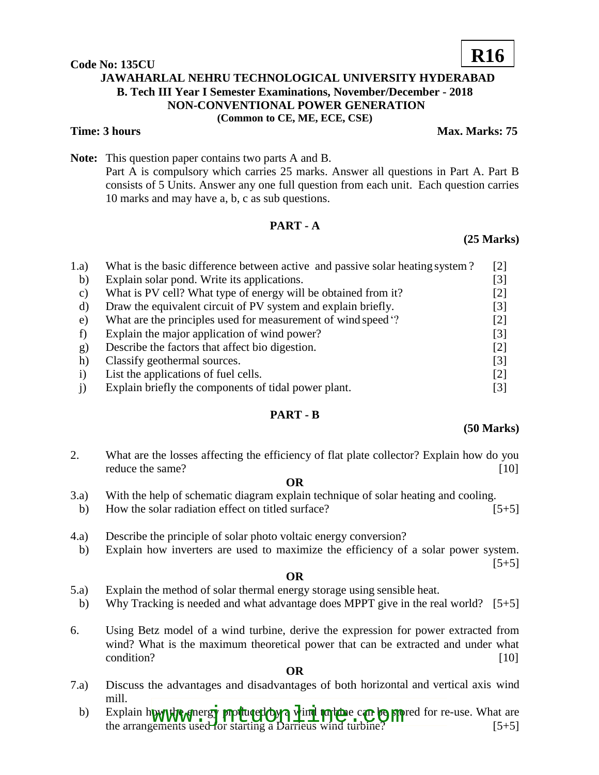**Code No: 135CU**

# **JAWAHARLAL NEHRU TECHNOLOGICAL UNIVERSITY HYDERABAD B. Tech III Year I Semester Examinations, November/December - 2018 NON-CONVENTIONAL POWER GENERATION (Common to CE, ME, ECE, CSE)**

**Time: 3 hours Max. Marks: 75** 

**R16**

**Note:** This question paper contains two parts A and B. Part A is compulsory which carries 25 marks. Answer all questions in Part A. Part B consists of 5 Units. Answer any one full question from each unit. Each question carries 10 marks and may have a, b, c as sub questions.

# **PART - A**

### **(25 Marks)**

| 1.a)      | What is the basic difference between active and passive solar heating system? | [2]               |
|-----------|-------------------------------------------------------------------------------|-------------------|
| b)        | Explain solar pond. Write its applications.                                   | [3]               |
| C)        | What is PV cell? What type of energy will be obtained from it?                | [2]               |
| d)        | Draw the equivalent circuit of PV system and explain briefly.                 | [3]               |
| e)        | What are the principles used for measurement of wind speed '?                 | [2]               |
|           | Explain the major application of wind power?                                  | [3]               |
| g)        | Describe the factors that affect bio digestion.                               | $[2]$             |
| h)        | Classify geothermal sources.                                                  | $\vert 3 \vert$   |
| $\bf{1)}$ | List the applications of fuel cells.                                          | $\lceil 2 \rceil$ |
|           | Explain briefly the components of tidal power plant.                          | [3]               |

# **PART - B**

#### **(50 Marks)**

2. What are the losses affecting the efficiency of flat plate collector? Explain how do you reduce the same? [10]

#### **OR**

- 3.a) With the help of schematic diagram explain technique of solar heating and cooling.
- b) How the solar radiation effect on titled surface? [5+5]
- 4.a) Describe the principle of solar photo voltaic energy conversion?
- b) Explain how inverters are used to maximize the efficiency of a solar power system.

#### $[5+5]$

#### **OR**

- 5.a) Explain the method of solar thermal energy storage using sensible heat.
- b) Why Tracking is needed and what advantage does MPPT give in the real world? [5+5]
- 6. Using Betz model of a wind turbine, derive the expression for power extracted from wind? What is the maximum theoretical power that can be extracted and under what condition? [10]

#### **OR**

- 7.a) Discuss the advantages and disadvantages of both horizontal and vertical axis wind mill.
	- b) Explain how the energy produced by a wind turbine can be stored for re-use. What are Explain how the energy produced by a vind turbine can be stored for re-use. What are<br>the arrangements used for starting a Darrieus wind turbine? [5+5]